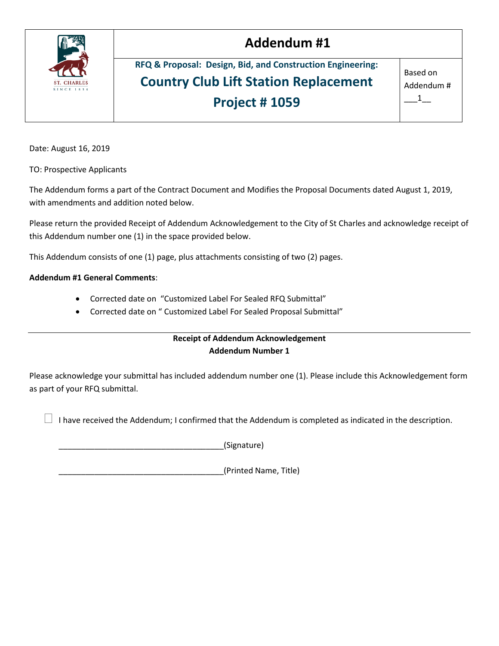

### **Addendum #1**

**RFQ & Proposal: Design, Bid, and Construction Engineering: Country Club Lift Station Replacement Project # 1059**

Based on Addendum #  $1$ 

Date: August 16, 2019

TO: Prospective Applicants

The Addendum forms a part of the Contract Document and Modifies the Proposal Documents dated August 1, 2019, with amendments and addition noted below.

Please return the provided Receipt of Addendum Acknowledgement to the City of St Charles and acknowledge receipt of this Addendum number one (1) in the space provided below.

This Addendum consists of one (1) page, plus attachments consisting of two (2) pages.

#### **Addendum #1 General Comments**:

- Corrected date on "Customized Label For Sealed RFQ Submittal"
- Corrected date on " Customized Label For Sealed Proposal Submittal"

#### **Receipt of Addendum Acknowledgement Addendum Number 1**

Please acknowledge your submittal has included addendum number one (1). Please include this Acknowledgement form as part of your RFQ submittal.

I have received the Addendum; I confirmed that the Addendum is completed as indicated in the description.

\_\_\_\_\_\_\_\_\_\_\_\_\_\_\_\_\_\_\_\_\_\_\_\_\_\_\_\_\_\_\_\_\_\_\_\_\_(Signature)

\_\_\_\_\_\_\_\_\_\_\_\_\_\_\_\_\_\_\_\_\_\_\_\_\_\_\_\_\_\_\_\_\_\_\_\_\_(Printed Name, Title)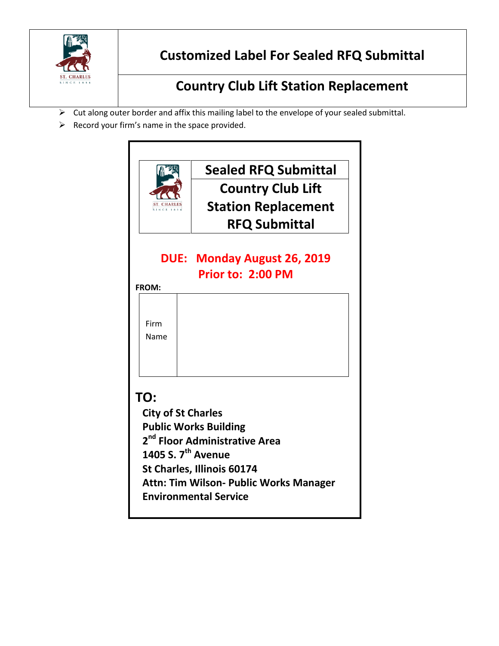

### **Customized Label For Sealed RFQ Submittal**

## **Country Club Lift Station Replacement**

- $\triangleright$  Cut along outer border and affix this mailing label to the envelope of your sealed submittal.
- $\triangleright$  Record your firm's name in the space provided.